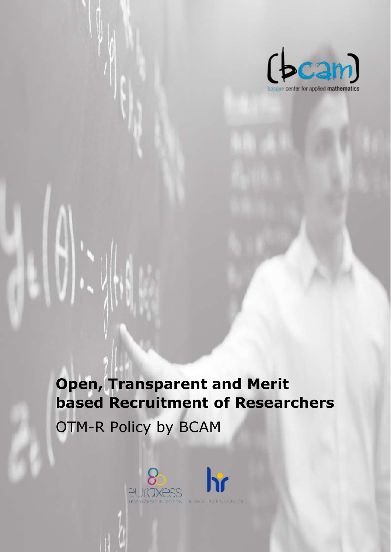

**Open, Transparent and Merit based Recruitment of Researchers**  OTM-R Policy by BCAM

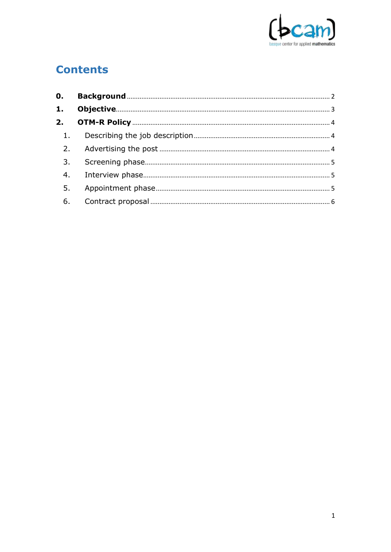

## **Contents**

| $\mathbf{0}$ . |  |
|----------------|--|
| 1.             |  |
| 2.             |  |
| 1 <sub>1</sub> |  |
| 2.             |  |
| 3.             |  |
| 4.             |  |
| 5.             |  |
|                |  |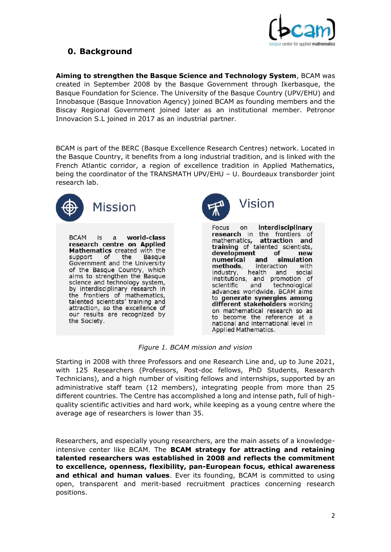

## <span id="page-2-0"></span>**0. Background**

**Aiming to strengthen the Basque Science and Technology System**, BCAM was created in September 2008 by the Basque Government through Ikerbasque, the Basque Foundation for Science. The University of the Basque Country (UPV/EHU) and Innobasque (Basque Innovation Agency) joined BCAM as founding members and the Biscay Regional Government joined later as an institutional member. Petronor Innovacion S.L joined in 2017 as an industrial partner.

BCAM is part of the BERC (Basque Excellence Research Centres) network. Located in the Basque Country, it benefits from a long industrial tradition, and is linked with the French Atlantic corridor, a region of excellence tradition in Applied Mathematics, being the coordinator of the TRANSMATH UPV/EHU – U. Bourdeaux transborder joint research lab.



**BCAM** world-class  $|s|$  $\overline{a}$ research centre on Applied Mathematics created with the support of the Basque Government and the University of the Basque Country, which aims to strengthen the Basque science and technology system, by interdisciplinary research in the frontiers of mathematics, talented scientists' training and attraction, so the excellence of our results are recognized by the Society.



Focus on interdisciplinary research in the frontiers of mathematics, attraction and<br>training of talented scientists, attraction and development of new numerical and simulation methods, interaction with industry, health and social institutions, and promotion of scientific and technological advances worldwide. BCAM aims to generate synergies among different stakeholders working on mathematical research so as to become the reference at a national and international level in Applied Mathematics.

*Figure 1. BCAM mission and vision*

Starting in 2008 with three Professors and one Research Line and, up to June 2021, with 125 Researchers (Professors, Post-doc fellows, PhD Students, Research Technicians), and a high number of visiting fellows and internships, supported by an administrative staff team (12 members), integrating people from more than 25 different countries. The Centre has accomplished a long and intense path, full of highquality scientific activities and hard work, while keeping as a young centre where the average age of researchers is lower than 35.

Researchers, and especially young researchers, are the main assets of a knowledgeintensive center like BCAM. The **BCAM strategy for attracting and retaining talented researchers was established in 2008 and reflects the commitment to excellence, openness, flexibility, pan-European focus, ethical awareness and ethical and human values**. Ever its founding, BCAM is committed to using open, transparent and merit-based recruitment practices concerning research positions.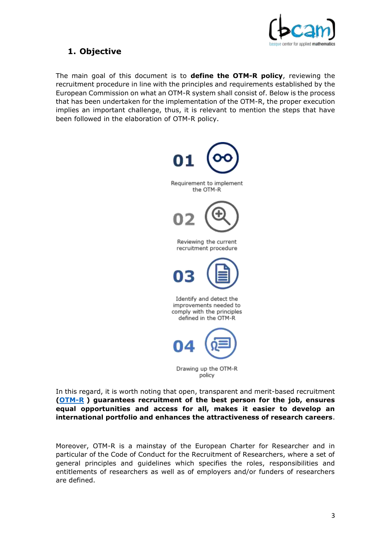

## <span id="page-3-0"></span>**1. Objective**

The main goal of this document is to **define the OTM-R policy**, reviewing the recruitment procedure in line with the principles and requirements established by the European Commission on what an OTM-R system shall consist of. Below is the process that has been undertaken for the implementation of the OTM-R, the proper execution implies an important challenge, thus, it is relevant to mention the steps that have been followed in the elaboration of OTM-R policy.



In this regard, it is worth noting that open, transparent and merit-based recruitment **[\(OTM-R](https://cdn1.euraxess.org/sites/default/files/policy_library/otm-r-finaldoc_0.pdf) ) guarantees recruitment of the best person for the job, ensures equal opportunities and access for all, makes it easier to develop an international portfolio and enhances the attractiveness of research careers**.

Moreover, OTM-R is a mainstay of the European Charter for Researcher and in particular of the Code of Conduct for the Recruitment of Researchers, where a set of general principles and guidelines which specifies the roles, responsibilities and entitlements of researchers as well as of employers and/or funders of researchers are defined.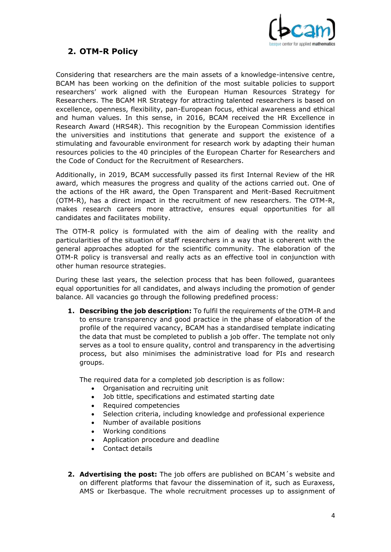

## <span id="page-4-0"></span>**2. OTM-R Policy**

Considering that researchers are the main assets of a knowledge-intensive centre, BCAM has been working on the definition of the most suitable policies to support researchers' work aligned with the European Human Resources Strategy for Researchers. The BCAM HR Strategy for attracting talented researchers is based on excellence, openness, flexibility, pan-European focus, ethical awareness and ethical and human values. In this sense, in 2016, BCAM received the HR Excellence in Research Award (HRS4R). This recognition by the European Commission identifies the universities and institutions that generate and support the existence of a stimulating and favourable environment for research work by adapting their human resources policies to the 40 principles of the European Charter for Researchers and the Code of Conduct for the Recruitment of Researchers.

Additionally, in 2019, BCAM successfully passed its first Internal Review of the HR award, which measures the progress and quality of the actions carried out. One of the actions of the HR award, the Open Transparent and Merit-Based Recruitment (OTM-R), has a direct impact in the recruitment of new researchers. The OTM-R, makes research careers more attractive, ensures equal opportunities for all candidates and facilitates mobility.

The OTM-R policy is formulated with the aim of dealing with the reality and particularities of the situation of staff researchers in a way that is coherent with the general approaches adopted for the scientific community. The elaboration of the OTM-R policy is transversal and really acts as an effective tool in conjunction with other human resource strategies.

During these last years, the selection process that has been followed, guarantees equal opportunities for all candidates, and always including the promotion of gender balance. All vacancies go through the following predefined process:

<span id="page-4-1"></span>**1. Describing the job description:** To fulfil the requirements of the OTM-R and to ensure transparency and good practice in the phase of elaboration of the profile of the required vacancy, BCAM has a standardised template indicating the data that must be completed to publish a job offer. The template not only serves as a tool to ensure quality, control and transparency in the advertising process, but also minimises the administrative load for PIs and research groups.

The required data for a completed job description is as follow:

- Organisation and recruiting unit
- Job tittle, specifications and estimated starting date
- Required competencies
- Selection criteria, including knowledge and professional experience
- Number of available positions
- Working conditions
- Application procedure and deadline
- Contact details
- <span id="page-4-2"></span>**2. Advertising the post:** The job offers are published on BCAM´s website and on different platforms that favour the dissemination of it, such as Euraxess, AMS or Ikerbasque. The whole recruitment processes up to assignment of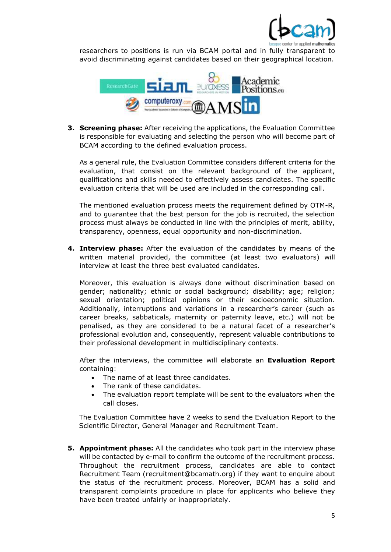

researchers to positions is run via BCAM portal and in fully transparent to avoid discriminating against candidates based on their geographical location.



<span id="page-5-0"></span>**3. Screening phase:** After receiving the applications, the Evaluation Committee is responsible for evaluating and selecting the person who will become part of BCAM according to the defined evaluation process.

As a general rule, the Evaluation Committee considers different criteria for the evaluation, that consist on the relevant background of the applicant, qualifications and skills needed to effectively assess candidates. The specific evaluation criteria that will be used are included in the corresponding call.

The mentioned evaluation process meets the requirement defined by OTM-R, and to guarantee that the best person for the job is recruited, the selection process must always be conducted in line with the principles of merit, ability, transparency, openness, equal opportunity and non-discrimination.

<span id="page-5-1"></span>**4. Interview phase:** After the evaluation of the candidates by means of the written material provided, the committee (at least two evaluators) will interview at least the three best evaluated candidates.

Moreover, this evaluation is always done without discrimination based on gender; nationality; ethnic or social background; disability; age; religion; sexual orientation; political opinions or their socioeconomic situation. Additionally, interruptions and variations in a researcher's career (such as career breaks, sabbaticals, maternity or paternity leave, etc.) will not be penalised, as they are considered to be a natural facet of a researcher's professional evolution and, consequently, represent valuable contributions to their professional development in multidisciplinary contexts.

After the interviews, the committee will elaborate an **Evaluation Report**  containing:

- The name of at least three candidates.
- The rank of these candidates.
- The evaluation report template will be sent to the evaluators when the call closes.

The Evaluation Committee have 2 weeks to send the Evaluation Report to the Scientific Director, General Manager and Recruitment Team.

<span id="page-5-2"></span>**5. Appointment phase:** All the candidates who took part in the interview phase will be contacted by e-mail to confirm the outcome of the recruitment process. Throughout the recruitment process, candidates are able to contact Recruitment Team (recruitment@bcamath.org) if they want to enquire about the status of the recruitment process. Moreover, BCAM has a solid and transparent complaints procedure in place for applicants who believe they have been treated unfairly or inappropriately.